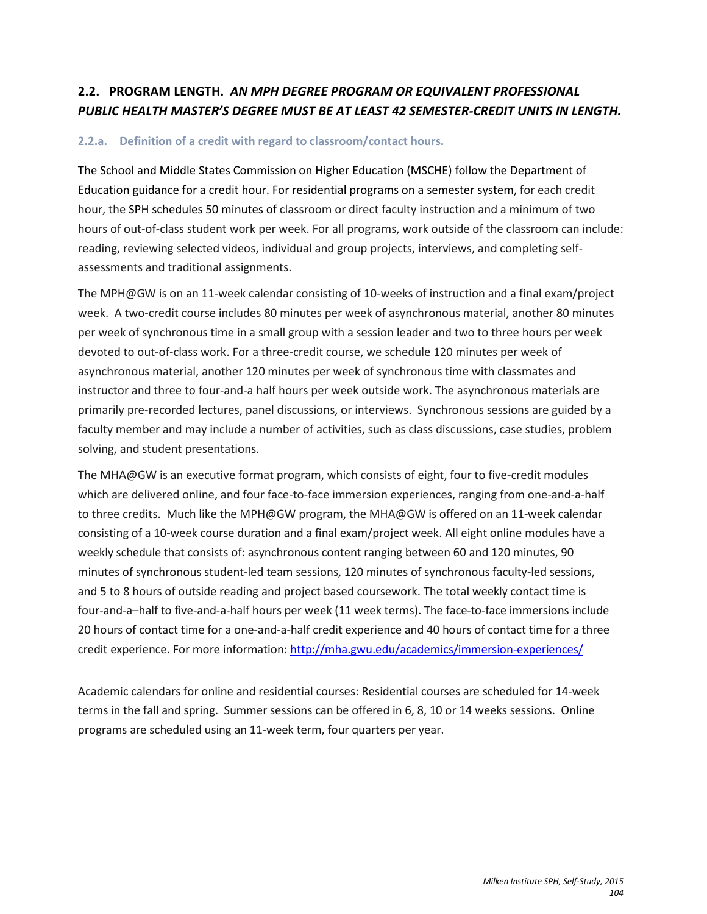# **2.2. PROGRAM LENGTH.** *AN MPH DEGREE PROGRAM OR EQUIVALENT PROFESSIONAL PUBLIC HEALTH MASTER'S DEGREE MUST BE AT LEAST 42 SEMESTER-CREDIT UNITS IN LENGTH.*

### **2.2.a. Definition of a credit with regard to classroom/contact hours.**

The School and Middle States Commission on Higher Education (MSCHE) follow the Department of Education guidance for a credit hour. For residential programs on a semester system, for each credit hour, the SPH schedules 50 minutes of classroom or direct faculty instruction and a minimum of two hours of out-of-class student work per week. For all programs, work outside of the classroom can include: reading, reviewing selected videos, individual and group projects, interviews, and completing selfassessments and traditional assignments.

The MPH@GW is on an 11-week calendar consisting of 10-weeks of instruction and a final exam/project week. A two-credit course includes 80 minutes per week of asynchronous material, another 80 minutes per week of synchronous time in a small group with a session leader and two to three hours per week devoted to out-of-class work. For a three-credit course, we schedule 120 minutes per week of asynchronous material, another 120 minutes per week of synchronous time with classmates and instructor and three to four-and-a half hours per week outside work. The asynchronous materials are primarily pre-recorded lectures, panel discussions, or interviews. Synchronous sessions are guided by a faculty member and may include a number of activities, such as class discussions, case studies, problem solving, and student presentations.

The MHA@GW is an executive format program, which consists of eight, four to five-credit modules which are delivered online, and four face-to-face immersion experiences, ranging from one-and-a-half to three credits. Much like the MPH@GW program, the MHA@GW is offered on an 11-week calendar consisting of a 10-week course duration and a final exam/project week. All eight online modules have a weekly schedule that consists of: asynchronous content ranging between 60 and 120 minutes, 90 minutes of synchronous student-led team sessions, 120 minutes of synchronous faculty-led sessions, and 5 to 8 hours of outside reading and project based coursework. The total weekly contact time is four-and-a–half to five-and-a-half hours per week (11 week terms). The face-to-face immersions include 20 hours of contact time for a one-and-a-half credit experience and 40 hours of contact time for a three credit experience. For more information: <http://mha.gwu.edu/academics/immersion-experiences/>

Academic calendars for online and residential courses: Residential courses are scheduled for 14-week terms in the fall and spring. Summer sessions can be offered in 6, 8, 10 or 14 weeks sessions. Online programs are scheduled using an 11-week term, four quarters per year.